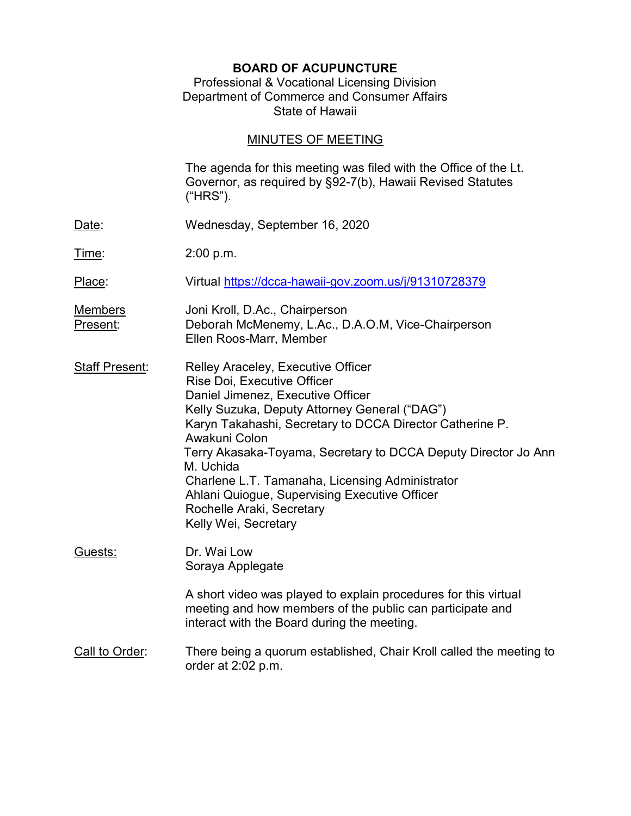# BOARD OF ACUPUNCTURE

### Professional & Vocational Licensing Division Department of Commerce and Consumer Affairs State of Hawaii

# MINUTES OF MEETING

|                            | The agenda for this meeting was filed with the Office of the Lt.<br>Governor, as required by §92-7(b), Hawaii Revised Statutes<br>("HRS").                                                                                                                                                                                                                                                                                                                                   |
|----------------------------|------------------------------------------------------------------------------------------------------------------------------------------------------------------------------------------------------------------------------------------------------------------------------------------------------------------------------------------------------------------------------------------------------------------------------------------------------------------------------|
| Date:                      | Wednesday, September 16, 2020                                                                                                                                                                                                                                                                                                                                                                                                                                                |
| <u>Time</u> :              | 2:00 p.m.                                                                                                                                                                                                                                                                                                                                                                                                                                                                    |
| Place:                     | Virtual https://dcca-hawaii-gov.zoom.us/j/91310728379                                                                                                                                                                                                                                                                                                                                                                                                                        |
| <u>Members</u><br>Present: | Joni Kroll, D.Ac., Chairperson<br>Deborah McMenemy, L.Ac., D.A.O.M, Vice-Chairperson<br>Ellen Roos-Marr, Member                                                                                                                                                                                                                                                                                                                                                              |
| <b>Staff Present:</b>      | Relley Araceley, Executive Officer<br>Rise Doi, Executive Officer<br>Daniel Jimenez, Executive Officer<br>Kelly Suzuka, Deputy Attorney General ("DAG")<br>Karyn Takahashi, Secretary to DCCA Director Catherine P.<br>Awakuni Colon<br>Terry Akasaka-Toyama, Secretary to DCCA Deputy Director Jo Ann<br>M. Uchida<br>Charlene L.T. Tamanaha, Licensing Administrator<br>Ahlani Quiogue, Supervising Executive Officer<br>Rochelle Araki, Secretary<br>Kelly Wei, Secretary |
| Guests:                    | Dr. Wai Low<br>Soraya Applegate                                                                                                                                                                                                                                                                                                                                                                                                                                              |
|                            | A short video was played to explain procedures for this virtual<br>meeting and how members of the public can participate and<br>interact with the Board during the meeting.                                                                                                                                                                                                                                                                                                  |
| Call to Order:             | There being a quorum established, Chair Kroll called the meeting to<br>order at 2:02 p.m.                                                                                                                                                                                                                                                                                                                                                                                    |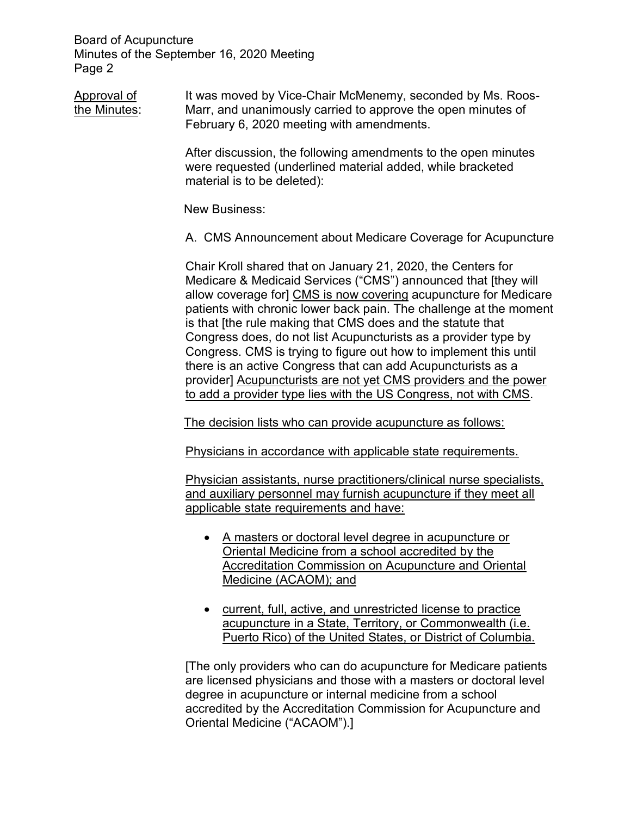Approval of It was moved by Vice-Chair McMenemy, seconded by Ms. Roosthe Minutes: Marr, and unanimously carried to approve the open minutes of February 6, 2020 meeting with amendments.

> After discussion, the following amendments to the open minutes were requested (underlined material added, while bracketed material is to be deleted):

New Business:

A. CMS Announcement about Medicare Coverage for Acupuncture

 Chair Kroll shared that on January 21, 2020, the Centers for Medicare & Medicaid Services ("CMS") announced that [they will allow coverage for] CMS is now covering acupuncture for Medicare patients with chronic lower back pain. The challenge at the moment is that [the rule making that CMS does and the statute that Congress does, do not list Acupuncturists as a provider type by Congress. CMS is trying to figure out how to implement this until there is an active Congress that can add Acupuncturists as a provider] Acupuncturists are not yet CMS providers and the power to add a provider type lies with the US Congress, not with CMS.

The decision lists who can provide acupuncture as follows:

Physicians in accordance with applicable state requirements.

Physician assistants, nurse practitioners/clinical nurse specialists, and auxiliary personnel may furnish acupuncture if they meet all applicable state requirements and have:

- A masters or doctoral level degree in acupuncture or Oriental Medicine from a school accredited by the Accreditation Commission on Acupuncture and Oriental Medicine (ACAOM); and
- current, full, active, and unrestricted license to practice acupuncture in a State, Territory, or Commonwealth (i.e. Puerto Rico) of the United States, or District of Columbia.

[The only providers who can do acupuncture for Medicare patients are licensed physicians and those with a masters or doctoral level degree in acupuncture or internal medicine from a school accredited by the Accreditation Commission for Acupuncture and Oriental Medicine ("ACAOM").]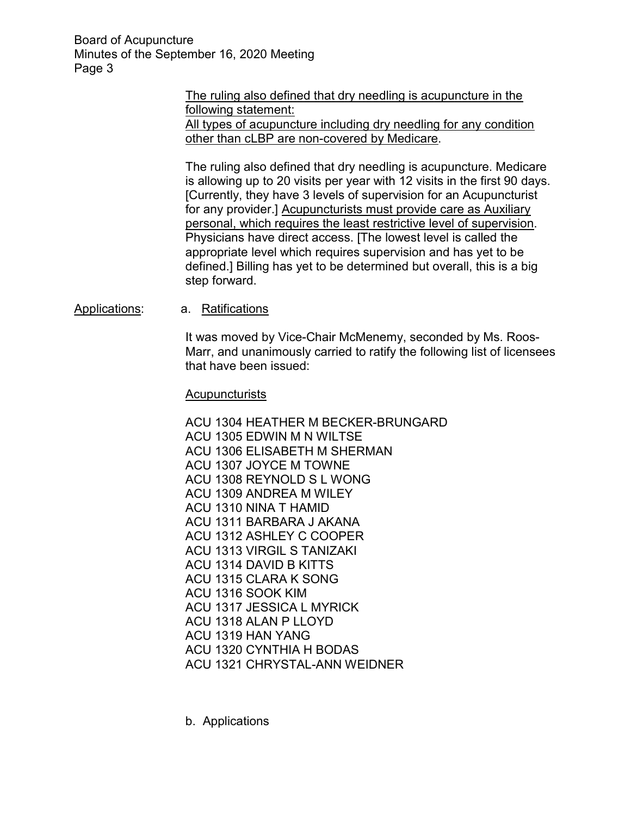> The ruling also defined that dry needling is acupuncture in the following statement: All types of acupuncture including dry needling for any condition other than cLBP are non-covered by Medicare.

 The ruling also defined that dry needling is acupuncture. Medicare is allowing up to 20 visits per year with 12 visits in the first 90 days. [Currently, they have 3 levels of supervision for an Acupuncturist for any provider.] Acupuncturists must provide care as Auxiliary personal, which requires the least restrictive level of supervision. Physicians have direct access. [The lowest level is called the appropriate level which requires supervision and has yet to be defined.] Billing has yet to be determined but overall, this is a big step forward.

#### Applications: a. Ratifications

It was moved by Vice-Chair McMenemy, seconded by Ms. Roos-Marr, and unanimously carried to ratify the following list of licensees that have been issued:

#### Acupuncturists

ACU 1304 HEATHER M BECKER-BRUNGARD ACU 1305 EDWIN M N WILTSE ACU 1306 ELISABETH M SHERMAN ACU 1307 JOYCE M TOWNE ACU 1308 REYNOLD S L WONG ACU 1309 ANDREA M WILEY ACU 1310 NINA T HAMID ACU 1311 BARBARA J AKANA ACU 1312 ASHLEY C COOPER ACU 1313 VIRGIL S TANIZAKI ACU 1314 DAVID B KITTS ACU 1315 CLARA K SONG ACU 1316 SOOK KIM ACU 1317 JESSICA L MYRICK ACU 1318 ALAN P LLOYD ACU 1319 HAN YANG ACU 1320 CYNTHIA H BODAS ACU 1321 CHRYSTAL-ANN WEIDNER

b. Applications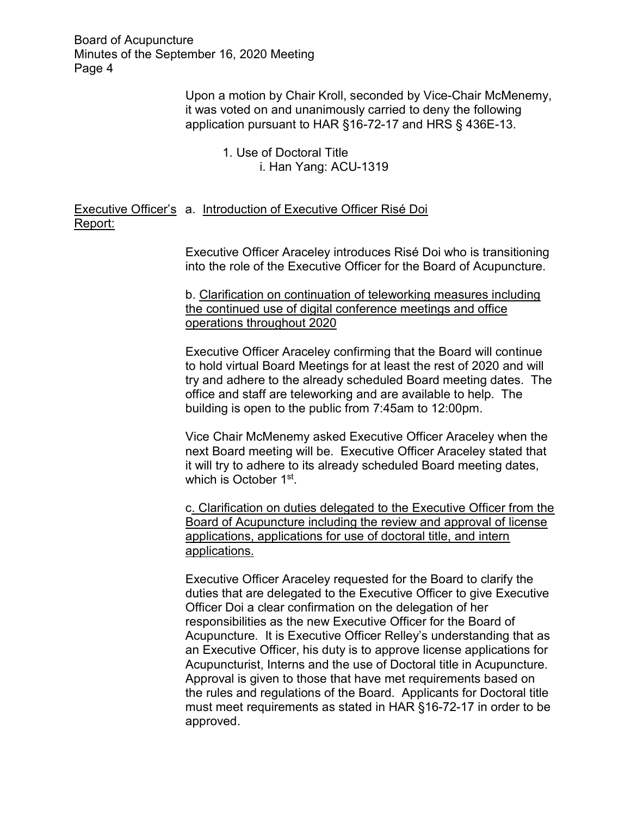> Upon a motion by Chair Kroll, seconded by Vice-Chair McMenemy, it was voted on and unanimously carried to deny the following application pursuant to HAR §16-72-17 and HRS § 436E-13.

> > 1. Use of Doctoral Title i. Han Yang: ACU-1319

Executive Officer's a. Introduction of Executive Officer Risé Doi Report:

> Executive Officer Araceley introduces Risé Doi who is transitioning into the role of the Executive Officer for the Board of Acupuncture.

b. Clarification on continuation of teleworking measures including the continued use of digital conference meetings and office operations throughout 2020

Executive Officer Araceley confirming that the Board will continue to hold virtual Board Meetings for at least the rest of 2020 and will try and adhere to the already scheduled Board meeting dates. The office and staff are teleworking and are available to help. The building is open to the public from 7:45am to 12:00pm.

Vice Chair McMenemy asked Executive Officer Araceley when the next Board meeting will be. Executive Officer Araceley stated that it will try to adhere to its already scheduled Board meeting dates, which is October 1st .

c. Clarification on duties delegated to the Executive Officer from the Board of Acupuncture including the review and approval of license applications, applications for use of doctoral title, and intern applications.

Executive Officer Araceley requested for the Board to clarify the duties that are delegated to the Executive Officer to give Executive Officer Doi a clear confirmation on the delegation of her responsibilities as the new Executive Officer for the Board of Acupuncture. It is Executive Officer Relley's understanding that as an Executive Officer, his duty is to approve license applications for Acupuncturist, Interns and the use of Doctoral title in Acupuncture. Approval is given to those that have met requirements based on the rules and regulations of the Board. Applicants for Doctoral title must meet requirements as stated in HAR §16-72-17 in order to be approved.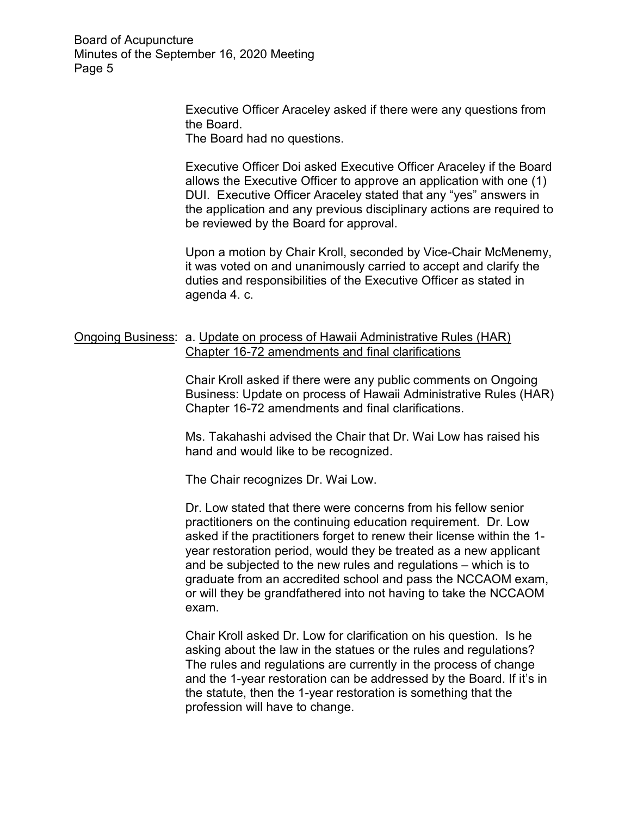> Executive Officer Araceley asked if there were any questions from the Board.

The Board had no questions.

Executive Officer Doi asked Executive Officer Araceley if the Board allows the Executive Officer to approve an application with one (1) DUI. Executive Officer Araceley stated that any "yes" answers in the application and any previous disciplinary actions are required to be reviewed by the Board for approval.

Upon a motion by Chair Kroll, seconded by Vice-Chair McMenemy, it was voted on and unanimously carried to accept and clarify the duties and responsibilities of the Executive Officer as stated in agenda 4. c.

#### Ongoing Business: a. Update on process of Hawaii Administrative Rules (HAR) Chapter 16-72 amendments and final clarifications

 Chair Kroll asked if there were any public comments on Ongoing Business: Update on process of Hawaii Administrative Rules (HAR) Chapter 16-72 amendments and final clarifications.

 Ms. Takahashi advised the Chair that Dr. Wai Low has raised his hand and would like to be recognized.

The Chair recognizes Dr. Wai Low.

 Dr. Low stated that there were concerns from his fellow senior practitioners on the continuing education requirement. Dr. Low asked if the practitioners forget to renew their license within the 1 year restoration period, would they be treated as a new applicant and be subjected to the new rules and regulations – which is to graduate from an accredited school and pass the NCCAOM exam, or will they be grandfathered into not having to take the NCCAOM exam.

 Chair Kroll asked Dr. Low for clarification on his question. Is he asking about the law in the statues or the rules and regulations? The rules and regulations are currently in the process of change and the 1-year restoration can be addressed by the Board. If it's in the statute, then the 1-year restoration is something that the profession will have to change.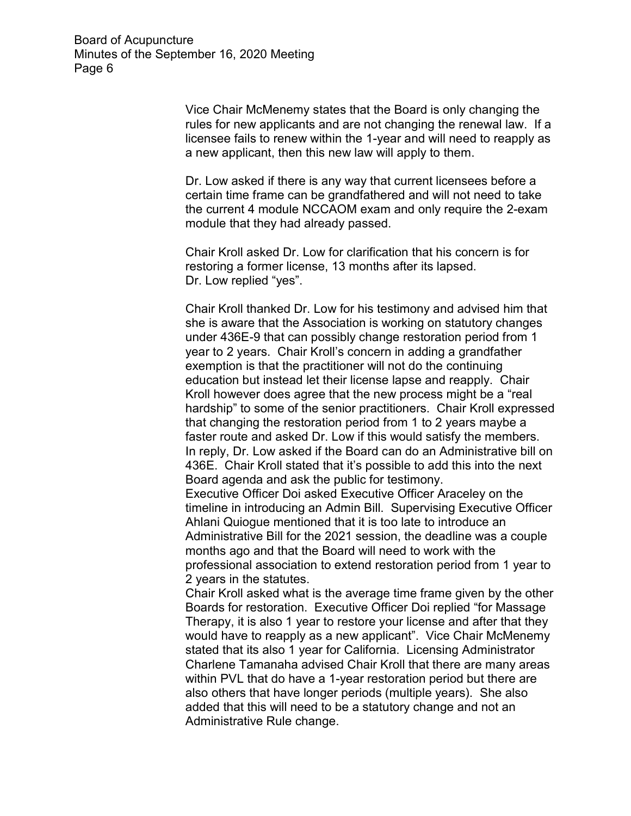Vice Chair McMenemy states that the Board is only changing the rules for new applicants and are not changing the renewal law. If a licensee fails to renew within the 1-year and will need to reapply as a new applicant, then this new law will apply to them.

 Dr. Low asked if there is any way that current licensees before a certain time frame can be grandfathered and will not need to take the current 4 module NCCAOM exam and only require the 2-exam module that they had already passed.

 Chair Kroll asked Dr. Low for clarification that his concern is for restoring a former license, 13 months after its lapsed. Dr. Low replied "yes".

 Chair Kroll thanked Dr. Low for his testimony and advised him that she is aware that the Association is working on statutory changes under 436E-9 that can possibly change restoration period from 1 year to 2 years. Chair Kroll's concern in adding a grandfather exemption is that the practitioner will not do the continuing education but instead let their license lapse and reapply. Chair Kroll however does agree that the new process might be a "real hardship" to some of the senior practitioners. Chair Kroll expressed that changing the restoration period from 1 to 2 years maybe a faster route and asked Dr. Low if this would satisfy the members. In reply, Dr. Low asked if the Board can do an Administrative bill on 436E. Chair Kroll stated that it's possible to add this into the next Board agenda and ask the public for testimony.

Executive Officer Doi asked Executive Officer Araceley on the timeline in introducing an Admin Bill. Supervising Executive Officer Ahlani Quiogue mentioned that it is too late to introduce an Administrative Bill for the 2021 session, the deadline was a couple months ago and that the Board will need to work with the professional association to extend restoration period from 1 year to 2 years in the statutes.

Chair Kroll asked what is the average time frame given by the other Boards for restoration. Executive Officer Doi replied "for Massage Therapy, it is also 1 year to restore your license and after that they would have to reapply as a new applicant". Vice Chair McMenemy stated that its also 1 year for California. Licensing Administrator Charlene Tamanaha advised Chair Kroll that there are many areas within PVL that do have a 1-year restoration period but there are also others that have longer periods (multiple years). She also added that this will need to be a statutory change and not an Administrative Rule change.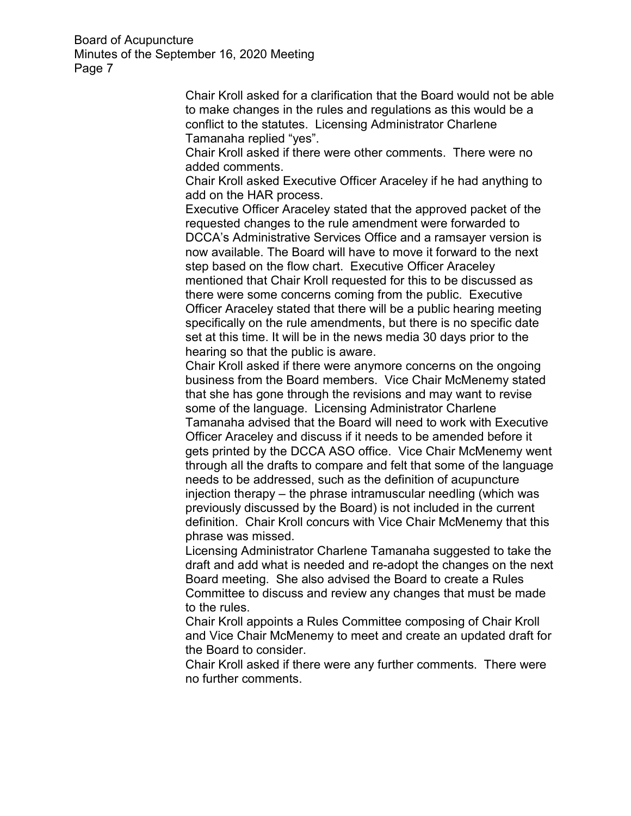> Chair Kroll asked for a clarification that the Board would not be able to make changes in the rules and regulations as this would be a conflict to the statutes. Licensing Administrator Charlene Tamanaha replied "yes".

 Chair Kroll asked if there were other comments. There were no added comments.

 Chair Kroll asked Executive Officer Araceley if he had anything to add on the HAR process.

 Executive Officer Araceley stated that the approved packet of the requested changes to the rule amendment were forwarded to DCCA's Administrative Services Office and a ramsayer version is now available. The Board will have to move it forward to the next step based on the flow chart. Executive Officer Araceley mentioned that Chair Kroll requested for this to be discussed as there were some concerns coming from the public. Executive Officer Araceley stated that there will be a public hearing meeting specifically on the rule amendments, but there is no specific date set at this time. It will be in the news media 30 days prior to the hearing so that the public is aware.

 Chair Kroll asked if there were anymore concerns on the ongoing business from the Board members. Vice Chair McMenemy stated that she has gone through the revisions and may want to revise some of the language. Licensing Administrator Charlene Tamanaha advised that the Board will need to work with Executive Officer Araceley and discuss if it needs to be amended before it gets printed by the DCCA ASO office. Vice Chair McMenemy went through all the drafts to compare and felt that some of the language needs to be addressed, such as the definition of acupuncture injection therapy – the phrase intramuscular needling (which was previously discussed by the Board) is not included in the current definition. Chair Kroll concurs with Vice Chair McMenemy that this phrase was missed.

Licensing Administrator Charlene Tamanaha suggested to take the draft and add what is needed and re-adopt the changes on the next Board meeting. She also advised the Board to create a Rules Committee to discuss and review any changes that must be made to the rules.

Chair Kroll appoints a Rules Committee composing of Chair Kroll and Vice Chair McMenemy to meet and create an updated draft for the Board to consider.

Chair Kroll asked if there were any further comments. There were no further comments.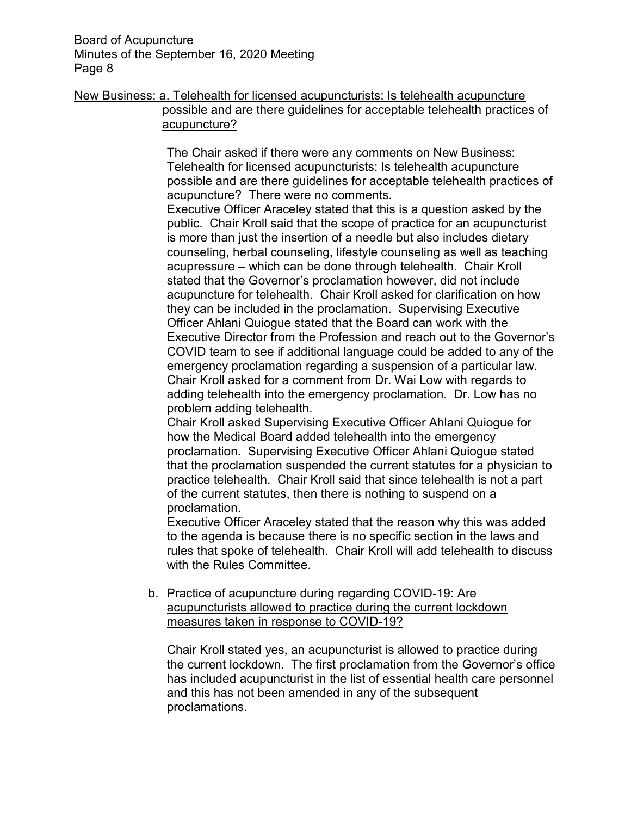# New Business: a. Telehealth for licensed acupuncturists: Is telehealth acupuncture possible and are there guidelines for acceptable telehealth practices of acupuncture?

The Chair asked if there were any comments on New Business: Telehealth for licensed acupuncturists: Is telehealth acupuncture possible and are there guidelines for acceptable telehealth practices of acupuncture? There were no comments.

Executive Officer Araceley stated that this is a question asked by the public. Chair Kroll said that the scope of practice for an acupuncturist is more than just the insertion of a needle but also includes dietary counseling, herbal counseling, lifestyle counseling as well as teaching acupressure – which can be done through telehealth. Chair Kroll stated that the Governor's proclamation however, did not include acupuncture for telehealth. Chair Kroll asked for clarification on how they can be included in the proclamation. Supervising Executive Officer Ahlani Quiogue stated that the Board can work with the Executive Director from the Profession and reach out to the Governor's COVID team to see if additional language could be added to any of the emergency proclamation regarding a suspension of a particular law. Chair Kroll asked for a comment from Dr. Wai Low with regards to adding telehealth into the emergency proclamation. Dr. Low has no problem adding telehealth.

Chair Kroll asked Supervising Executive Officer Ahlani Quiogue for how the Medical Board added telehealth into the emergency proclamation. Supervising Executive Officer Ahlani Quiogue stated that the proclamation suspended the current statutes for a physician to practice telehealth. Chair Kroll said that since telehealth is not a part of the current statutes, then there is nothing to suspend on a proclamation.

Executive Officer Araceley stated that the reason why this was added to the agenda is because there is no specific section in the laws and rules that spoke of telehealth. Chair Kroll will add telehealth to discuss with the Rules Committee.

b. Practice of acupuncture during regarding COVID-19: Are acupuncturists allowed to practice during the current lockdown measures taken in response to COVID-19?

Chair Kroll stated yes, an acupuncturist is allowed to practice during the current lockdown. The first proclamation from the Governor's office has included acupuncturist in the list of essential health care personnel and this has not been amended in any of the subsequent proclamations.